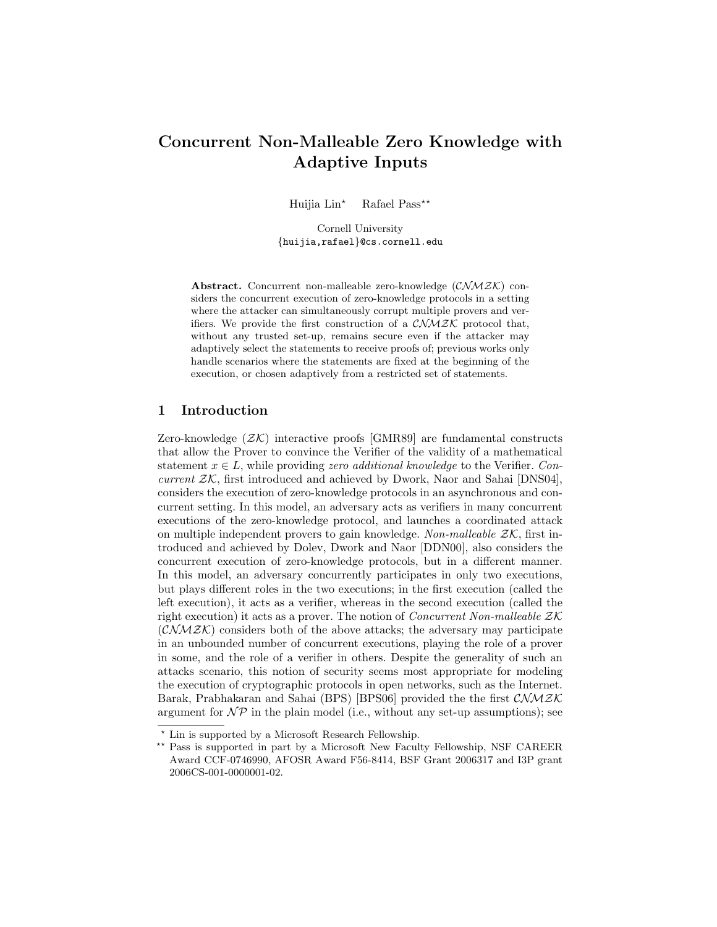# Concurrent Non-Malleable Zero Knowledge with Adaptive Inputs

Huijia  $\text{Lin}^{\star}$  Rafael Pass<sup>\*\*</sup>

Cornell University {huijia,rafael}@cs.cornell.edu

Abstract. Concurrent non-malleable zero-knowledge  $(\mathcal{CNMZK})$  considers the concurrent execution of zero-knowledge protocols in a setting where the attacker can simultaneously corrupt multiple provers and verifiers. We provide the first construction of a  $\mathcal{CNMZK}$  protocol that, without any trusted set-up, remains secure even if the attacker may adaptively select the statements to receive proofs of; previous works only handle scenarios where the statements are fixed at the beginning of the execution, or chosen adaptively from a restricted set of statements.

#### 1 Introduction

Zero-knowledge  $(ZK)$  interactive proofs [GMR89] are fundamental constructs that allow the Prover to convince the Verifier of the validity of a mathematical statement  $x \in L$ , while providing zero additional knowledge to the Verifier. Con*current*  $ZK$ , first introduced and achieved by Dwork, Naor and Sahai [DNS04], considers the execution of zero-knowledge protocols in an asynchronous and concurrent setting. In this model, an adversary acts as verifiers in many concurrent executions of the zero-knowledge protocol, and launches a coordinated attack on multiple independent provers to gain knowledge. Non-malleable  $ZK$ , first introduced and achieved by Dolev, Dwork and Naor [DDN00], also considers the concurrent execution of zero-knowledge protocols, but in a different manner. In this model, an adversary concurrently participates in only two executions, but plays different roles in the two executions; in the first execution (called the left execution), it acts as a verifier, whereas in the second execution (called the right execution) it acts as a prover. The notion of *Concurrent Non-malleable*  $ZK$  $(CM\mathcal{ZK})$  considers both of the above attacks; the adversary may participate in an unbounded number of concurrent executions, playing the role of a prover in some, and the role of a verifier in others. Despite the generality of such an attacks scenario, this notion of security seems most appropriate for modeling the execution of cryptographic protocols in open networks, such as the Internet. Barak, Prabhakaran and Sahai (BPS) [BPS06] provided the the first  $\mathcal{CNMIK}$ argument for  $\mathcal{NP}$  in the plain model (i.e., without any set-up assumptions); see

<sup>?</sup> Lin is supported by a Microsoft Research Fellowship.

<sup>\*\*</sup> Pass is supported in part by a Microsoft New Faculty Fellowship, NSF CAREER Award CCF-0746990, AFOSR Award F56-8414, BSF Grant 2006317 and I3P grant 2006CS-001-0000001-02.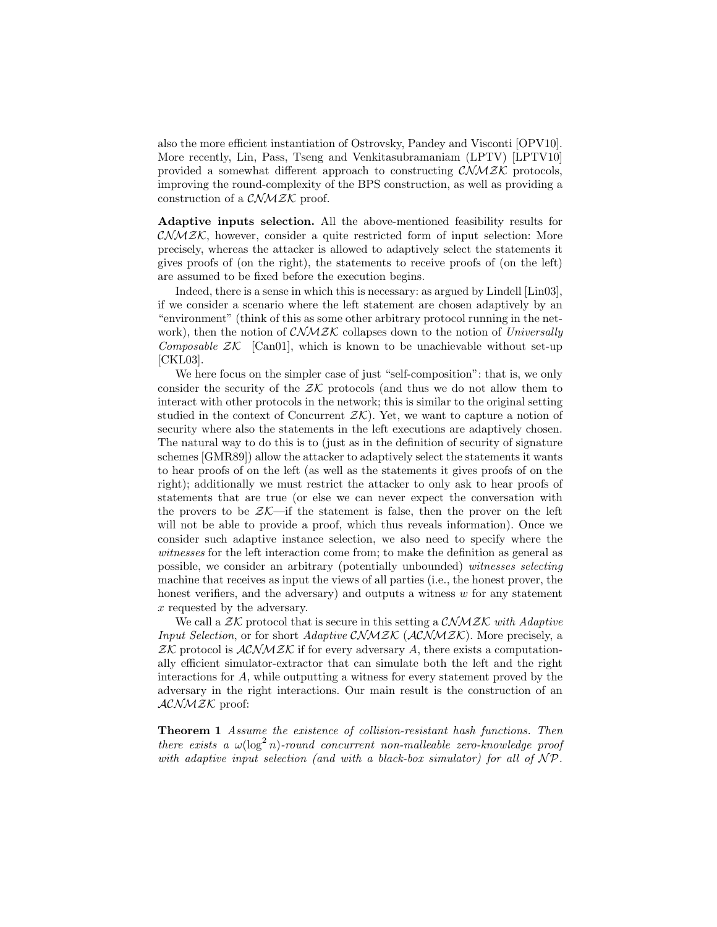also the more efficient instantiation of Ostrovsky, Pandey and Visconti [OPV10]. More recently, Lin, Pass, Tseng and Venkitasubramaniam (LPTV) [LPTV10] provided a somewhat different approach to constructing  $\mathcal{CMMZK}$  protocols, improving the round-complexity of the BPS construction, as well as providing a construction of a  $\mathcal{CNMZK}$  proof.

Adaptive inputs selection. All the above-mentioned feasibility results for  $\mathcal{CNMZK}$ , however, consider a quite restricted form of input selection: More precisely, whereas the attacker is allowed to adaptively select the statements it gives proofs of (on the right), the statements to receive proofs of (on the left) are assumed to be fixed before the execution begins.

Indeed, there is a sense in which this is necessary: as argued by Lindell [Lin03], if we consider a scenario where the left statement are chosen adaptively by an "environment" (think of this as some other arbitrary protocol running in the network), then the notion of  $\mathcal{CNMZK}$  collapses down to the notion of Universally *Composable*  $ZK$  [Can01], which is known to be unachievable without set-up [CKL03].

We here focus on the simpler case of just "self-composition": that is, we only consider the security of the  $ZK$  protocols (and thus we do not allow them to interact with other protocols in the network; this is similar to the original setting studied in the context of Concurrent  $\mathcal{ZK}$ ). Yet, we want to capture a notion of security where also the statements in the left executions are adaptively chosen. The natural way to do this is to (just as in the definition of security of signature schemes [GMR89]) allow the attacker to adaptively select the statements it wants to hear proofs of on the left (as well as the statements it gives proofs of on the right); additionally we must restrict the attacker to only ask to hear proofs of statements that are true (or else we can never expect the conversation with the provers to be  $ZK$ —if the statement is false, then the prover on the left will not be able to provide a proof, which thus reveals information). Once we consider such adaptive instance selection, we also need to specify where the witnesses for the left interaction come from; to make the definition as general as possible, we consider an arbitrary (potentially unbounded) witnesses selecting machine that receives as input the views of all parties (i.e., the honest prover, the honest verifiers, and the adversary) and outputs a witness  $w$  for any statement x requested by the adversary.

We call a  $ZK$  protocol that is secure in this setting a CNMZK with Adaptive *Input Selection*, or for short *Adaptive CNMZK* (*ACNMZK*). More precisely, a  $ZK$  protocol is  $ACNMZK$  if for every adversary A, there exists a computationally efficient simulator-extractor that can simulate both the left and the right interactions for A, while outputting a witness for every statement proved by the adversary in the right interactions. Our main result is the construction of an ACNMZK proof:

Theorem 1 Assume the existence of collision-resistant hash functions. Then there exists a  $\omega(\log^2 n)$ -round concurrent non-malleable zero-knowledge proof with adaptive input selection (and with a black-box simulator) for all of  $\mathcal{NP}$ .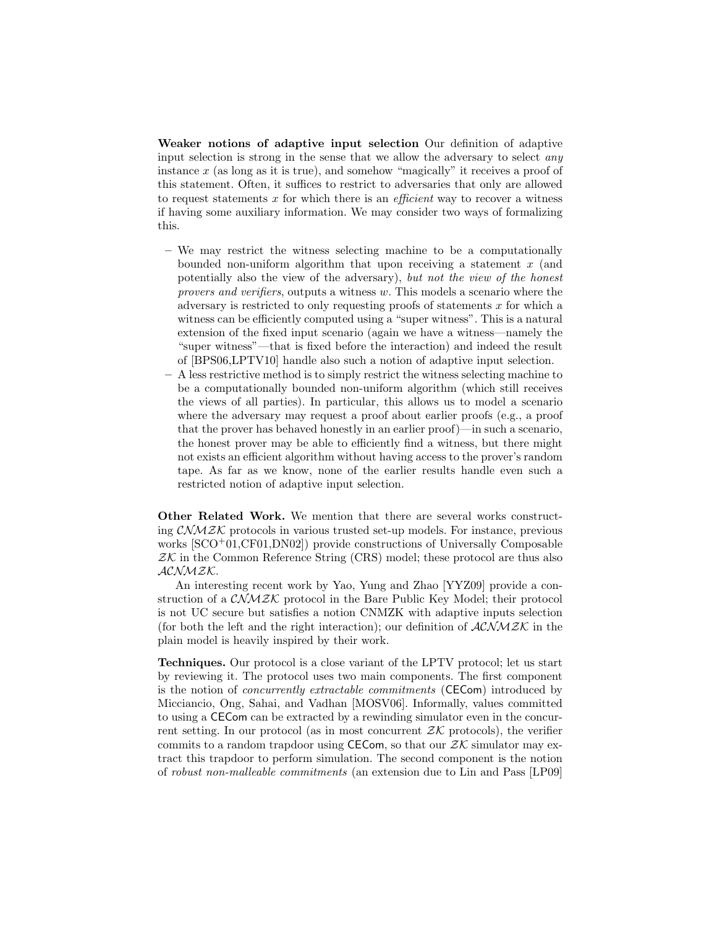Weaker notions of adaptive input selection Our definition of adaptive input selection is strong in the sense that we allow the adversary to select any instance  $x$  (as long as it is true), and somehow "magically" it receives a proof of this statement. Often, it suffices to restrict to adversaries that only are allowed to request statements  $x$  for which there is an *efficient* way to recover a witness if having some auxiliary information. We may consider two ways of formalizing this.

- We may restrict the witness selecting machine to be a computationally bounded non-uniform algorithm that upon receiving a statement x (and potentially also the view of the adversary), but not the view of the honest provers and verifiers, outputs a witness w. This models a scenario where the adversary is restricted to only requesting proofs of statements x for which a witness can be efficiently computed using a "super witness". This is a natural extension of the fixed input scenario (again we have a witness—namely the "super witness"—that is fixed before the interaction) and indeed the result of [BPS06,LPTV10] handle also such a notion of adaptive input selection.
- A less restrictive method is to simply restrict the witness selecting machine to be a computationally bounded non-uniform algorithm (which still receives the views of all parties). In particular, this allows us to model a scenario where the adversary may request a proof about earlier proofs (e.g., a proof that the prover has behaved honestly in an earlier proof)—in such a scenario, the honest prover may be able to efficiently find a witness, but there might not exists an efficient algorithm without having access to the prover's random tape. As far as we know, none of the earlier results handle even such a restricted notion of adaptive input selection.

Other Related Work. We mention that there are several works constructing  $\mathcal{CNMZK}$  protocols in various trusted set-up models. For instance, previous works  $[SCO<sup>+</sup>01,CF01,DNO2]$  provide constructions of Universally Composable  $ZK$  in the Common Reference String (CRS) model; these protocol are thus also ACNMZK.

An interesting recent work by Yao, Yung and Zhao [YYZ09] provide a construction of a  $\mathcal{CNMZK}$  protocol in the Bare Public Key Model; their protocol is not UC secure but satisfies a notion CNMZK with adaptive inputs selection (for both the left and the right interaction); our definition of  $\mathcal{A}\mathcal{CNMZ}\mathcal{K}$  in the plain model is heavily inspired by their work.

Techniques. Our protocol is a close variant of the LPTV protocol; let us start by reviewing it. The protocol uses two main components. The first component is the notion of concurrently extractable commitments (CECom) introduced by Micciancio, Ong, Sahai, and Vadhan [MOSV06]. Informally, values committed to using a CECom can be extracted by a rewinding simulator even in the concurrent setting. In our protocol (as in most concurrent  $\mathcal{ZK}$  protocols), the verifier commits to a random trapdoor using CECom, so that our  $ZK$  simulator may extract this trapdoor to perform simulation. The second component is the notion of robust non-malleable commitments (an extension due to Lin and Pass [LP09]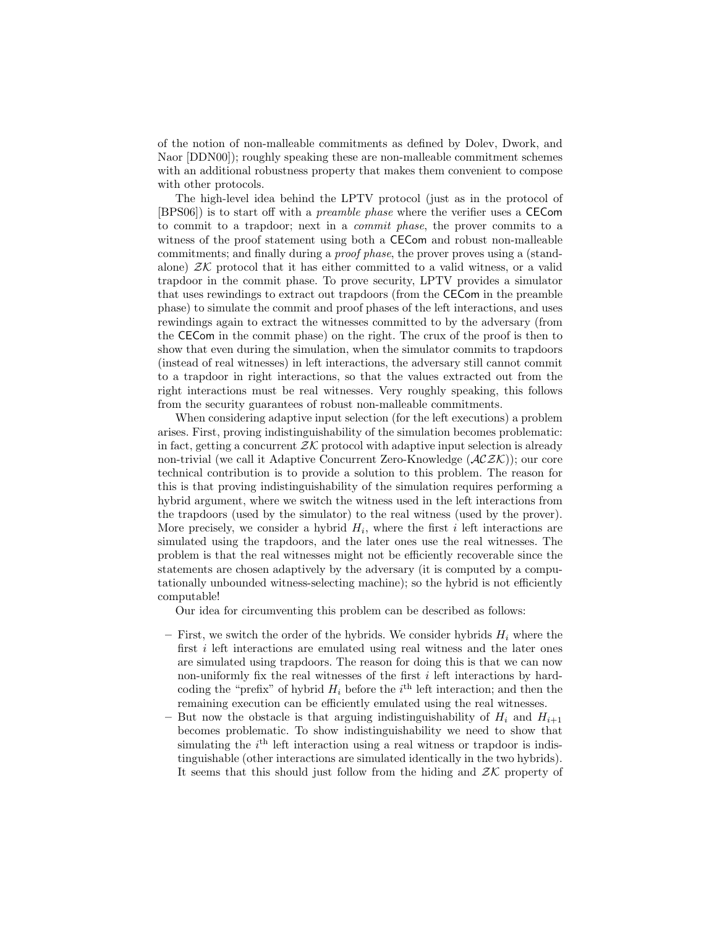of the notion of non-malleable commitments as defined by Dolev, Dwork, and Naor [DDN00]); roughly speaking these are non-malleable commitment schemes with an additional robustness property that makes them convenient to compose with other protocols.

The high-level idea behind the LPTV protocol (just as in the protocol of [BPS06]) is to start off with a preamble phase where the verifier uses a CECom to commit to a trapdoor; next in a commit phase, the prover commits to a witness of the proof statement using both a CECom and robust non-malleable commitments; and finally during a *proof phase*, the prover proves using a (standalone)  $ZK$  protocol that it has either committed to a valid witness, or a valid trapdoor in the commit phase. To prove security, LPTV provides a simulator that uses rewindings to extract out trapdoors (from the CECom in the preamble phase) to simulate the commit and proof phases of the left interactions, and uses rewindings again to extract the witnesses committed to by the adversary (from the CECom in the commit phase) on the right. The crux of the proof is then to show that even during the simulation, when the simulator commits to trapdoors (instead of real witnesses) in left interactions, the adversary still cannot commit to a trapdoor in right interactions, so that the values extracted out from the right interactions must be real witnesses. Very roughly speaking, this follows from the security guarantees of robust non-malleable commitments.

When considering adaptive input selection (for the left executions) a problem arises. First, proving indistinguishability of the simulation becomes problematic: in fact, getting a concurrent  $\mathcal{ZK}$  protocol with adaptive input selection is already non-trivial (we call it Adaptive Concurrent Zero-Knowledge  $(\mathcal{ACZK})$ ); our core technical contribution is to provide a solution to this problem. The reason for this is that proving indistinguishability of the simulation requires performing a hybrid argument, where we switch the witness used in the left interactions from the trapdoors (used by the simulator) to the real witness (used by the prover). More precisely, we consider a hybrid  $H_i$ , where the first i left interactions are simulated using the trapdoors, and the later ones use the real witnesses. The problem is that the real witnesses might not be efficiently recoverable since the statements are chosen adaptively by the adversary (it is computed by a computationally unbounded witness-selecting machine); so the hybrid is not efficiently computable!

Our idea for circumventing this problem can be described as follows:

- First, we switch the order of the hybrids. We consider hybrids  $H_i$  where the first i left interactions are emulated using real witness and the later ones are simulated using trapdoors. The reason for doing this is that we can now non-uniformly fix the real witnesses of the first  $i$  left interactions by hardcoding the "prefix" of hybrid  $H_i$  before the  $i^{\text{th}}$  left interaction; and then the remaining execution can be efficiently emulated using the real witnesses.
- But now the obstacle is that arguing indistinguishability of  $H_i$  and  $H_{i+1}$ becomes problematic. To show indistinguishability we need to show that simulating the  $i<sup>th</sup>$  left interaction using a real witness or trapdoor is indistinguishable (other interactions are simulated identically in the two hybrids). It seems that this should just follow from the hiding and  $Z\mathcal{K}$  property of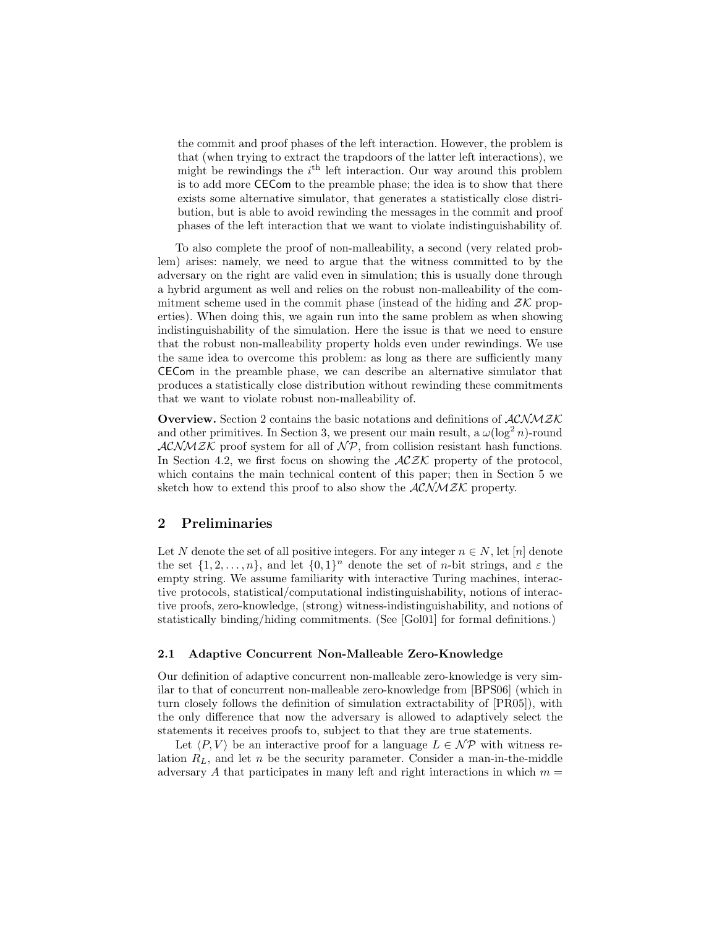the commit and proof phases of the left interaction. However, the problem is that (when trying to extract the trapdoors of the latter left interactions), we might be rewindings the  $i^{\text{th}}$  left interaction. Our way around this problem is to add more CECom to the preamble phase; the idea is to show that there exists some alternative simulator, that generates a statistically close distribution, but is able to avoid rewinding the messages in the commit and proof phases of the left interaction that we want to violate indistinguishability of.

To also complete the proof of non-malleability, a second (very related problem) arises: namely, we need to argue that the witness committed to by the adversary on the right are valid even in simulation; this is usually done through a hybrid argument as well and relies on the robust non-malleability of the commitment scheme used in the commit phase (instead of the hiding and  $ZK$  properties). When doing this, we again run into the same problem as when showing indistinguishability of the simulation. Here the issue is that we need to ensure that the robust non-malleability property holds even under rewindings. We use the same idea to overcome this problem: as long as there are sufficiently many CECom in the preamble phase, we can describe an alternative simulator that produces a statistically close distribution without rewinding these commitments that we want to violate robust non-malleability of.

**Overview.** Section 2 contains the basic notations and definitions of  $ACM$ and other primitives. In Section 3, we present our main result, a  $\omega(\log^2 n)$ -round  $ACMuzK$  proof system for all of  $\mathcal{NP}$ , from collision resistant hash functions. In Section 4.2, we first focus on showing the  $ACZK$  property of the protocol, which contains the main technical content of this paper; then in Section 5 we sketch how to extend this proof to also show the  $ACNMZK$  property.

#### 2 Preliminaries

Let N denote the set of all positive integers. For any integer  $n \in N$ , let [n] denote the set  $\{1, 2, \ldots, n\}$ , and let  $\{0, 1\}^n$  denote the set of *n*-bit strings, and  $\varepsilon$  the empty string. We assume familiarity with interactive Turing machines, interactive protocols, statistical/computational indistinguishability, notions of interactive proofs, zero-knowledge, (strong) witness-indistinguishability, and notions of statistically binding/hiding commitments. (See [Gol01] for formal definitions.)

#### 2.1 Adaptive Concurrent Non-Malleable Zero-Knowledge

Our definition of adaptive concurrent non-malleable zero-knowledge is very similar to that of concurrent non-malleable zero-knowledge from [BPS06] (which in turn closely follows the definition of simulation extractability of [PR05]), with the only difference that now the adversary is allowed to adaptively select the statements it receives proofs to, subject to that they are true statements.

Let  $\langle P, V \rangle$  be an interactive proof for a language  $L \in \mathcal{NP}$  with witness relation  $R_L$ , and let n be the security parameter. Consider a man-in-the-middle adversary A that participates in many left and right interactions in which  $m =$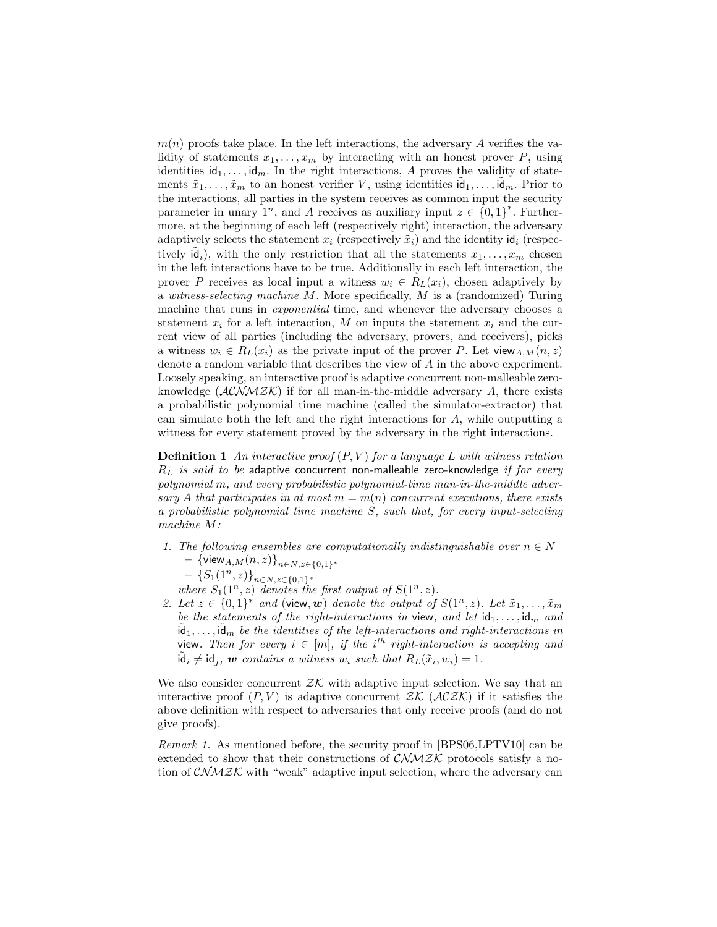$m(n)$  proofs take place. In the left interactions, the adversary A verifies the validity of statements  $x_1, \ldots, x_m$  by interacting with an honest prover P, using identities  $id_1, \ldots, id_m$ . In the right interactions, A proves the validity of statements  $\tilde{x}_1, \ldots, \tilde{x}_m$  to an honest verifier V, using identities  $\tilde{d}_1, \ldots, \tilde{d}_m$ . Prior to the interactions, all parties in the system receives as common input the security parameter in unary  $1^n$ , and A receives as auxiliary input  $z \in \{0,1\}^*$ . Furthermore, at the beginning of each left (respectively right) interaction, the adversary adaptively selects the statement  $x_i$  (respectively  $\tilde{x}_i$ ) and the identity id<sub>i</sub> (respectively  $id_i$ , with the only restriction that all the statements  $x_1, \ldots, x_m$  chosen in the left interactions have to be true. Additionally in each left interaction, the prover P receives as local input a witness  $w_i \in R_L(x_i)$ , chosen adaptively by a witness-selecting machine M. More specifically, M is a (randomized) Turing machine that runs in *exponential* time, and whenever the adversary chooses a statement  $x_i$  for a left interaction, M on inputs the statement  $x_i$  and the current view of all parties (including the adversary, provers, and receivers), picks a witness  $w_i \in R_L(x_i)$  as the private input of the prover P. Let view  $_{A,M}(n,z)$ denote a random variable that describes the view of A in the above experiment. Loosely speaking, an interactive proof is adaptive concurrent non-malleable zeroknowledge  $(\mathcal{ACNMAX})$  if for all man-in-the-middle adversary A, there exists a probabilistic polynomial time machine (called the simulator-extractor) that can simulate both the left and the right interactions for A, while outputting a witness for every statement proved by the adversary in the right interactions.

**Definition 1** An interactive proof  $(P, V)$  for a language L with witness relation  $R_L$  is said to be adaptive concurrent non-malleable zero-knowledge if for every polynomial m, and every probabilistic polynomial-time man-in-the-middle adversary A that participates in at most  $m = m(n)$  concurrent executions, there exists a probabilistic polynomial time machine S, such that, for every input-selecting machine M:

- 1. The following ensembles are computationally indistinguishable over  $n \in N$  $- \; \left\{ \mathsf{view}_{A,M}(n,z) \right\}_{n \in N, z \in \{0,1\}^*}$ 
	- $\{S_1(1^n, z)\}_{n \in N, z \in \{0,1\}^*}$

where  $S_1(1^n, z)$  denotes the first output of  $S(1^n, z)$ .

2. Let  $z \in \{0,1\}^*$  and (view, w) denote the output of  $S(1^n, z)$ . Let  $\tilde{x}_1, \ldots, \tilde{x}_m$ be the statements of the right-interactions in view, and let  $id_1, \ldots, id_m$  and  $\tilde{\mathsf{id}}_1,\ldots,\tilde{\mathsf{id}}_m$  be the identities of the left-interactions and right-interactions in view. Then for every  $i \in [m]$ , if the i<sup>th</sup> right-interaction is accepting and  $\tilde{\mathbf{d}}_i \neq \mathbf{d}_j$ , w contains a witness  $w_i$  such that  $R_L(\tilde{x}_i, w_i) = 1$ .

We also consider concurrent  $\mathcal{ZK}$  with adaptive input selection. We say that an interactive proof  $(P, V)$  is adaptive concurrent  $\mathcal{ZK}$  ( $\mathcal{ACZK}$ ) if it satisfies the above definition with respect to adversaries that only receive proofs (and do not give proofs).

Remark 1. As mentioned before, the security proof in [BPS06,LPTV10] can be extended to show that their constructions of CNMZK protocols satisfy a notion of  $\mathcal{C}\mathcal{N}\mathcal{M}\mathcal{Z}\mathcal{K}$  with "weak" adaptive input selection, where the adversary can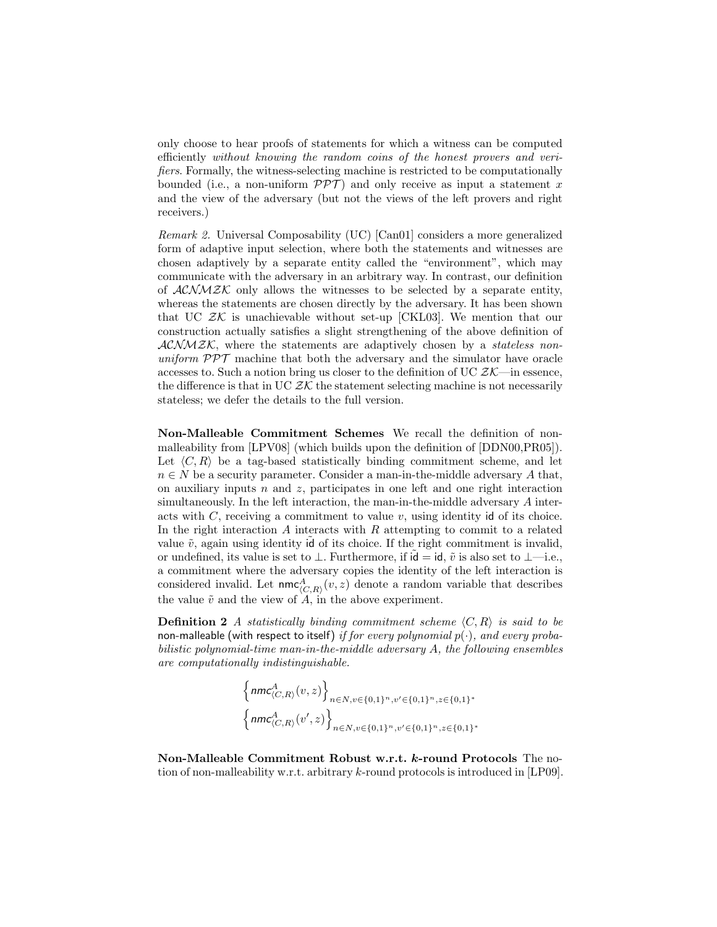only choose to hear proofs of statements for which a witness can be computed efficiently without knowing the random coins of the honest provers and verifiers. Formally, the witness-selecting machine is restricted to be computationally bounded (i.e., a non-uniform  $\mathcal{PPT}$ ) and only receive as input a statement x and the view of the adversary (but not the views of the left provers and right receivers.)

Remark 2. Universal Composability (UC) [Can01] considers a more generalized form of adaptive input selection, where both the statements and witnesses are chosen adaptively by a separate entity called the "environment", which may communicate with the adversary in an arbitrary way. In contrast, our definition of  $ACNMZK$  only allows the witnesses to be selected by a separate entity, whereas the statements are chosen directly by the adversary. It has been shown that UC  $ZK$  is unachievable without set-up [CKL03]. We mention that our construction actually satisfies a slight strengthening of the above definition of  $ACMZK$ , where the statements are adaptively chosen by a *stateless non*uniform  $\mathcal{PPT}$  machine that both the adversary and the simulator have oracle accesses to. Such a notion bring us closer to the definition of UC  $ZK$ —in essence, the difference is that in UC  $ZK$  the statement selecting machine is not necessarily stateless; we defer the details to the full version.

Non-Malleable Commitment Schemes We recall the definition of nonmalleability from [LPV08] (which builds upon the definition of [DDN00,PR05]). Let  $\langle C, R \rangle$  be a tag-based statistically binding commitment scheme, and let  $n \in N$  be a security parameter. Consider a man-in-the-middle adversary A that, on auxiliary inputs  $n$  and  $z$ , participates in one left and one right interaction simultaneously. In the left interaction, the man-in-the-middle adversary A interacts with  $C$ , receiving a commitment to value  $v$ , using identity id of its choice. In the right interaction  $A$  interacts with  $R$  attempting to commit to a related value  $\tilde{v}$ , again using identity id of its choice. If the right commitment is invalid, or undefined, its value is set to ⊥. Furthermore, if  $id = id$ ,  $\tilde{v}$  is also set to ⊥—i.e., a commitment where the adversary copies the identity of the left interaction is considered invalid. Let  $\textsf{nnrc}^A_{\langle C,R \rangle}(v, z)$  denote a random variable that describes the value  $\tilde{v}$  and the view of  $\tilde{A}$ , in the above experiment.

**Definition 2** A statistically binding commitment scheme  $\langle C, R \rangle$  is said to be non-malleable (with respect to itself) if for every polynomial  $p(\cdot)$ , and every probabilistic polynomial-time man-in-the-middle adversary A, the following ensembles are computationally indistinguishable.

$$
\left\{\text{nmc}_{(C,R)}^{A}(v,z)\right\}_{n\in N,v\in\{0,1\}^n,v'\in\{0,1\}^n,z\in\{0,1\}^*}
$$

$$
\left\{\text{nmc}_{(C,R)}^{A}(v',z)\right\}_{n\in N,v\in\{0,1\}^n,v'\in\{0,1\}^n,z\in\{0,1\}^*}
$$

Non-Malleable Commitment Robust w.r.t. k-round Protocols The notion of non-malleability w.r.t. arbitrary k-round protocols is introduced in [LP09].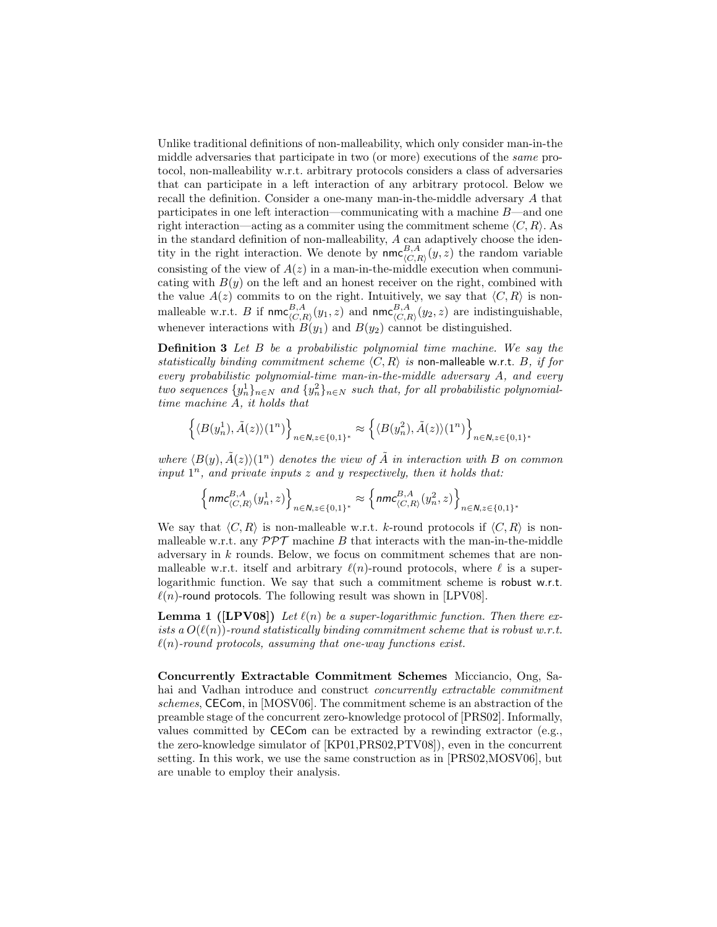Unlike traditional definitions of non-malleability, which only consider man-in-the middle adversaries that participate in two (or more) executions of the same protocol, non-malleability w.r.t. arbitrary protocols considers a class of adversaries that can participate in a left interaction of any arbitrary protocol. Below we recall the definition. Consider a one-many man-in-the-middle adversary A that participates in one left interaction—communicating with a machine B—and one right interaction—acting as a commiter using the commitment scheme  $\langle C, R \rangle$ . As in the standard definition of non-malleability,  $A$  can adaptively choose the identity in the right interaction. We denote by  $\text{nmc}_{l}^{B,A}$  ${}_{\langle C,R\rangle}^{B,A}(y,z)$  the random variable consisting of the view of  $A(z)$  in a man-in-the-middle execution when communicating with  $B(y)$  on the left and an honest receiver on the right, combined with the value  $A(z)$  commits to on the right. Intuitively, we say that  $\langle C, R \rangle$  is nonmalleable w.r.t. B if  $\text{nmc}_{\text{CC}^B,A}^{B,A}$  $\overset{B,A}{\underset{\langle C,R \rangle}{\langle C,Y \rangle}}(y_1,z)$  and nmc $\overset{B,A}{\underset{\langle C,I}}$  ${}_{\langle C,R\rangle}^{B,A}(y_2,z)$  are indistinguishable, whenever interactions with  $B(y_1)$  and  $B(y_2)$  cannot be distinguished.

Definition 3 Let B be a probabilistic polynomial time machine. We say the statistically binding commitment scheme  $\langle C, R \rangle$  is non-malleable w.r.t. B, if for every probabilistic polynomial-time man-in-the-middle adversary A, and every two sequences  $\{y_n^1\}_{n\in\mathbb{N}}$  and  $\{y_n^2\}_{n\in\mathbb{N}}$  such that, for all probabilistic polynomialtime machine A, it holds that

$$
\left\{\langle B(y_n^1),\tilde{A}(z)\rangle (1^n)\right\}_{n\in\mathsf{N},z\in\{0,1\}^*}\approx \left\{\langle B(y_n^2),\tilde{A}(z)\rangle (1^n)\right\}_{n\in\mathsf{N},z\in\{0,1\}^*}
$$

where  $\langle B(y), \tilde{A}(z)\rangle(1^n)$  denotes the view of  $\tilde{A}$  in interaction with B on common input  $1^n$ , and private inputs z and y respectively, then it holds that:

$$
\left\{\text{nmc}_{\langle C,R \rangle}^{B,A}(y_n^1,z)\right\}_{n \in \mathsf{N}, z \in \{0,1\}^*} \approx \left\{\text{nmc}_{\langle C,R \rangle}^{B,A}(y_n^2,z)\right\}_{n \in \mathsf{N}, z \in \{0,1\}^*}
$$

We say that  $\langle C, R \rangle$  is non-malleable w.r.t. k-round protocols if  $\langle C, R \rangle$  is nonmalleable w.r.t. any  $\mathcal{PPT}$  machine B that interacts with the man-in-the-middle adversary in  $k$  rounds. Below, we focus on commitment schemes that are nonmalleable w.r.t. itself and arbitrary  $\ell(n)$ -round protocols, where  $\ell$  is a superlogarithmic function. We say that such a commitment scheme is robust w.r.t.  $\ell(n)$ -round protocols. The following result was shown in [LPV08].

**Lemma 1** ([LPV08]) Let  $\ell(n)$  be a super-logarithmic function. Then there exists a  $O(\ell(n))$ -round statistically binding commitment scheme that is robust w.r.t.  $\ell(n)$ -round protocols, assuming that one-way functions exist.

Concurrently Extractable Commitment Schemes Micciancio, Ong, Sahai and Vadhan introduce and construct concurrently extractable commitment schemes, CECom, in [MOSV06]. The commitment scheme is an abstraction of the preamble stage of the concurrent zero-knowledge protocol of [PRS02]. Informally, values committed by CECom can be extracted by a rewinding extractor (e.g., the zero-knowledge simulator of [KP01,PRS02,PTV08]), even in the concurrent setting. In this work, we use the same construction as in [PRS02,MOSV06], but are unable to employ their analysis.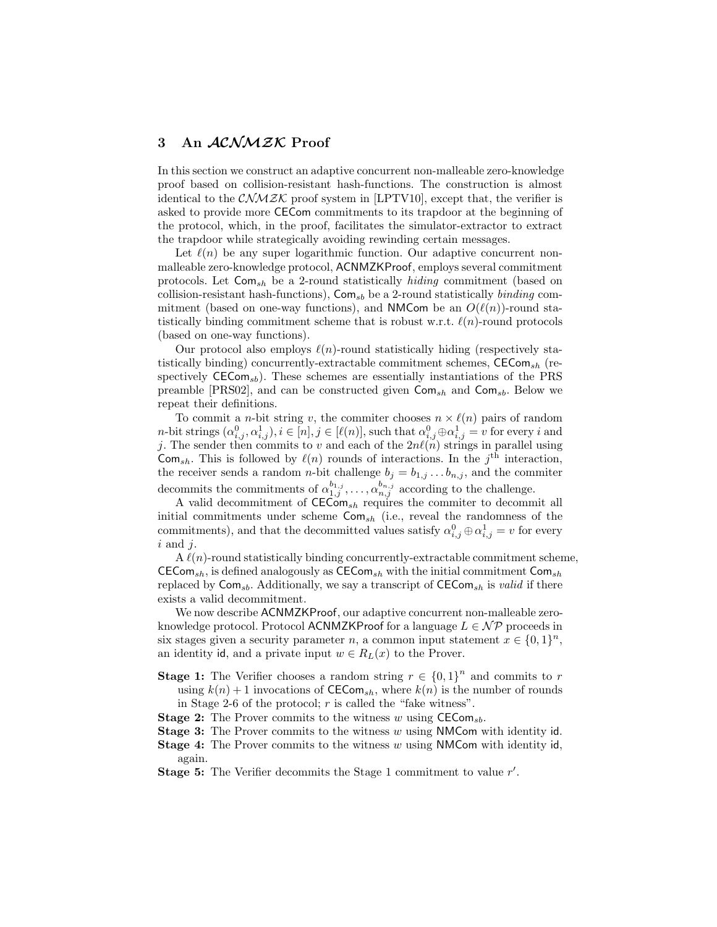### 3 An ACNMZK Proof

In this section we construct an adaptive concurrent non-malleable zero-knowledge proof based on collision-resistant hash-functions. The construction is almost identical to the  $\mathcal{CNMZK}$  proof system in [LPTV10], except that, the verifier is asked to provide more CECom commitments to its trapdoor at the beginning of the protocol, which, in the proof, facilitates the simulator-extractor to extract the trapdoor while strategically avoiding rewinding certain messages.

Let  $\ell(n)$  be any super logarithmic function. Our adaptive concurrent nonmalleable zero-knowledge protocol, ACNMZKProof, employs several commitment protocols. Let  $Com_{sh}$  be a 2-round statistically *hiding* commitment (based on collision-resistant hash-functions),  $Com_{sb}$  be a 2-round statistically *binding* commitment (based on one-way functions), and NMCom be an  $O(\ell(n))$ -round statistically binding commitment scheme that is robust w.r.t.  $\ell(n)$ -round protocols (based on one-way functions).

Our protocol also employs  $\ell(n)$ -round statistically hiding (respectively statistically binding) concurrently-extractable commitment schemes,  $\mathsf{CECom}_{sh}$  (respectively  $\mathsf{CECom}_{sb}$ ). These schemes are essentially instantiations of the PRS preamble [PRS02], and can be constructed given  $Com_{sh}$  and  $Com_{sb}$ . Below we repeat their definitions.

To commit a *n*-bit string v, the commiter chooses  $n \times \ell(n)$  pairs of random *n*-bit strings  $(\alpha_{i,j}^0, \alpha_{i,j}^1), i \in [n], j \in [\ell(n)]$ , such that  $\alpha_{i,j}^0 \oplus \alpha_{i,j}^1 = v$  for every i and j. The sender then commits to v and each of the  $2n\ell(n)$  strings in parallel using Com<sub>sh</sub>. This is followed by  $\ell(n)$  rounds of interactions. In the j<sup>th</sup> interaction, the receiver sends a random *n*-bit challenge  $b_j = b_{1,j} \dots b_{n,j}$ , and the commiter decommits the commitments of  $\alpha_{1,j}^{b_{1,j}}, \ldots, \alpha_{n,j}^{b_{n,j}}$  according to the challenge.

A valid decommitment of  $CECom<sub>sh</sub>$  requires the commiter to decommit all initial commitments under scheme  $Com_{sh}$  (i.e., reveal the randomness of the commitments), and that the decommitted values satisfy  $\alpha_{i,j}^0 \oplus \alpha_{i,j}^1 = v$  for every  $i$  and  $j$ .

A  $\ell(n)$ -round statistically binding concurrently-extractable commitment scheme,  $CECom<sub>sh</sub>$ , is defined analogously as  $CECom<sub>sh</sub>$  with the initial commitment  $Com<sub>sh</sub>$ replaced by  $\mathsf{Com}_{sb}$ . Additionally, we say a transcript of  $\mathsf{CECom}_{sh}$  is valid if there exists a valid decommitment.

We now describe ACNMZKProof, our adaptive concurrent non-malleable zeroknowledge protocol. Protocol ACNMZKProof for a language  $L \in \mathcal{NP}$  proceeds in six stages given a security parameter n, a common input statement  $x \in \{0,1\}^n$ , an identity id, and a private input  $w \in R_L(x)$  to the Prover.

- **Stage 1:** The Verifier chooses a random string  $r \in \{0,1\}^n$  and commits to r using  $k(n) + 1$  invocations of CECom<sub>sh</sub>, where  $k(n)$  is the number of rounds in Stage 2-6 of the protocol;  $r$  is called the "fake witness".
- **Stage 2:** The Prover commits to the witness w using  $CECom_{sb}$ .
- **Stage 3:** The Prover commits to the witness  $w$  using NMCom with identity id.
- **Stage 4:** The Prover commits to the witness w using NMCom with identity id, again.
- **Stage 5:** The Verifier decommits the Stage 1 commitment to value  $r'$ .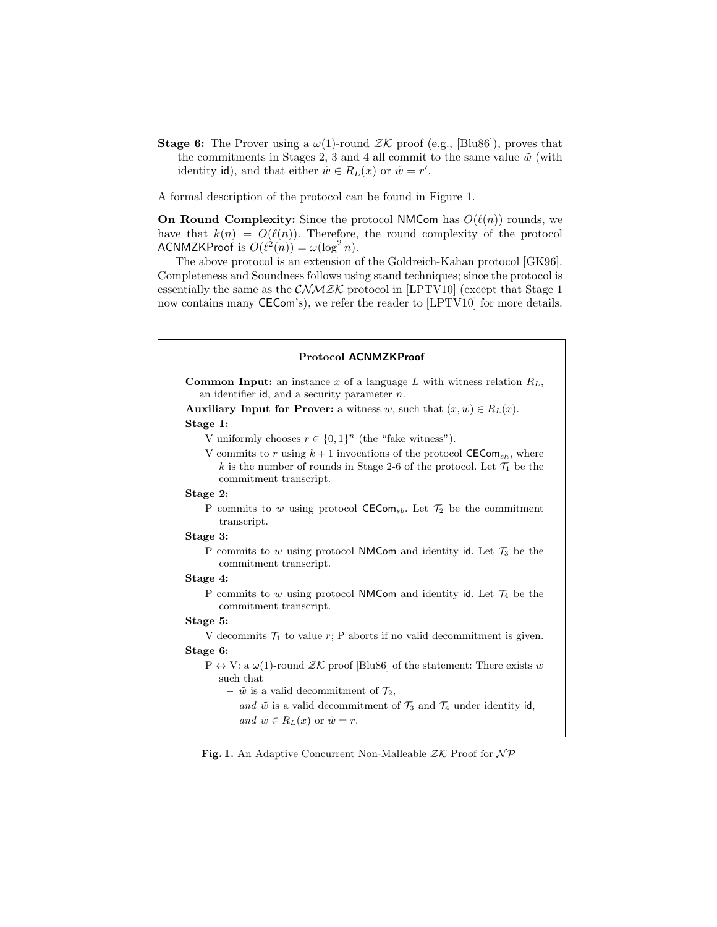**Stage 6:** The Prover using a  $\omega(1)$ -round  $ZK$  proof (e.g., [Blu86]), proves that the commitments in Stages 2, 3 and 4 all commit to the same value  $\tilde{w}$  (with identity id), and that either  $\tilde{w} \in R_L(x)$  or  $\tilde{w} = r'$ .

A formal description of the protocol can be found in Figure 1.

**On Round Complexity:** Since the protocol NMCom has  $O(\ell(n))$  rounds, we have that  $k(n) = O(\ell(n))$ . Therefore, the round complexity of the protocol ACNMZKProof is  $O(\ell^2(n)) = \omega(\log^2 n)$ .

The above protocol is an extension of the Goldreich-Kahan protocol [GK96]. Completeness and Soundness follows using stand techniques; since the protocol is essentially the same as the  $\mathcal{CNMZK}$  protocol in [LPTV10] (except that Stage 1 now contains many CECom's), we refer the reader to [LPTV10] for more details.



Fig. 1. An Adaptive Concurrent Non-Malleable  $ZK$  Proof for  $N\mathcal{P}$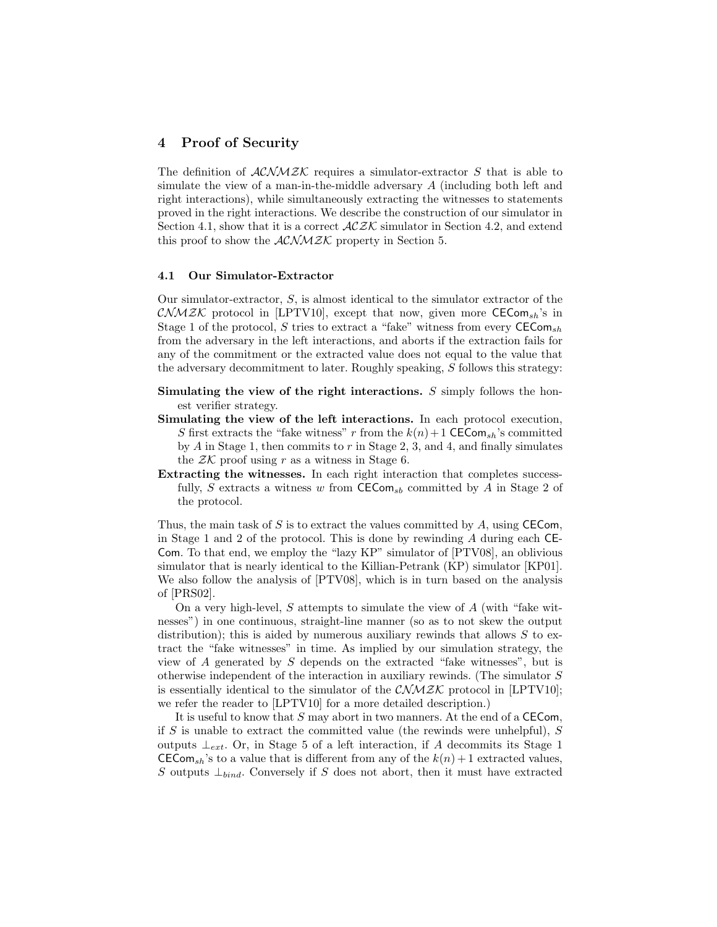#### 4 Proof of Security

The definition of  $ACM\\MZK$  requires a simulator-extractor S that is able to simulate the view of a man-in-the-middle adversary A (including both left and right interactions), while simultaneously extracting the witnesses to statements proved in the right interactions. We describe the construction of our simulator in Section 4.1, show that it is a correct  $\mathcal{A}\mathcal{C}\mathcal{Z}\mathcal{K}$  simulator in Section 4.2, and extend this proof to show the  $ACMMZK$  property in Section 5.

#### 4.1 Our Simulator-Extractor

Our simulator-extractor, S, is almost identical to the simulator extractor of the CNMZK protocol in [LPTV10], except that now, given more CECom<sub>sh</sub>'s in Stage 1 of the protocol, S tries to extract a "fake" witness from every  $\mathsf{CECom}_{sh}$ from the adversary in the left interactions, and aborts if the extraction fails for any of the commitment or the extracted value does not equal to the value that the adversary decommitment to later. Roughly speaking, S follows this strategy:

- Simulating the view of the right interactions. S simply follows the honest verifier strategy.
- Simulating the view of the left interactions. In each protocol execution, S first extracts the "fake witness" r from the  $k(n)+1$  CECom<sub>sh</sub>'s committed by  $A$  in Stage 1, then commits to  $r$  in Stage 2, 3, and 4, and finally simulates the  $ZK$  proof using r as a witness in Stage 6.
- Extracting the witnesses. In each right interaction that completes successfully, S extracts a witness w from  $CECom_{sb}$  committed by A in Stage 2 of the protocol.

Thus, the main task of S is to extract the values committed by A, using CECom, in Stage 1 and 2 of the protocol. This is done by rewinding A during each CE-Com. To that end, we employ the "lazy KP" simulator of [PTV08], an oblivious simulator that is nearly identical to the Killian-Petrank (KP) simulator [KP01]. We also follow the analysis of [PTV08], which is in turn based on the analysis of [PRS02].

On a very high-level, S attempts to simulate the view of A (with "fake witnesses") in one continuous, straight-line manner (so as to not skew the output distribution); this is aided by numerous auxiliary rewinds that allows  $S$  to extract the "fake witnesses" in time. As implied by our simulation strategy, the view of  $A$  generated by  $S$  depends on the extracted "fake witnesses", but is otherwise independent of the interaction in auxiliary rewinds. (The simulator S is essentially identical to the simulator of the  $\mathcal{CNMZK}$  protocol in [LPTV10]; we refer the reader to [LPTV10] for a more detailed description.)

It is useful to know that S may abort in two manners. At the end of a CECom, if S is unable to extract the committed value (the rewinds were unhelpful),  $S$ outputs  $\perp_{ext}$ . Or, in Stage 5 of a left interaction, if A decommits its Stage 1 CECom<sub>sh</sub>'s to a value that is different from any of the  $k(n) + 1$  extracted values, S outputs  $\perp_{bind}$ . Conversely if S does not abort, then it must have extracted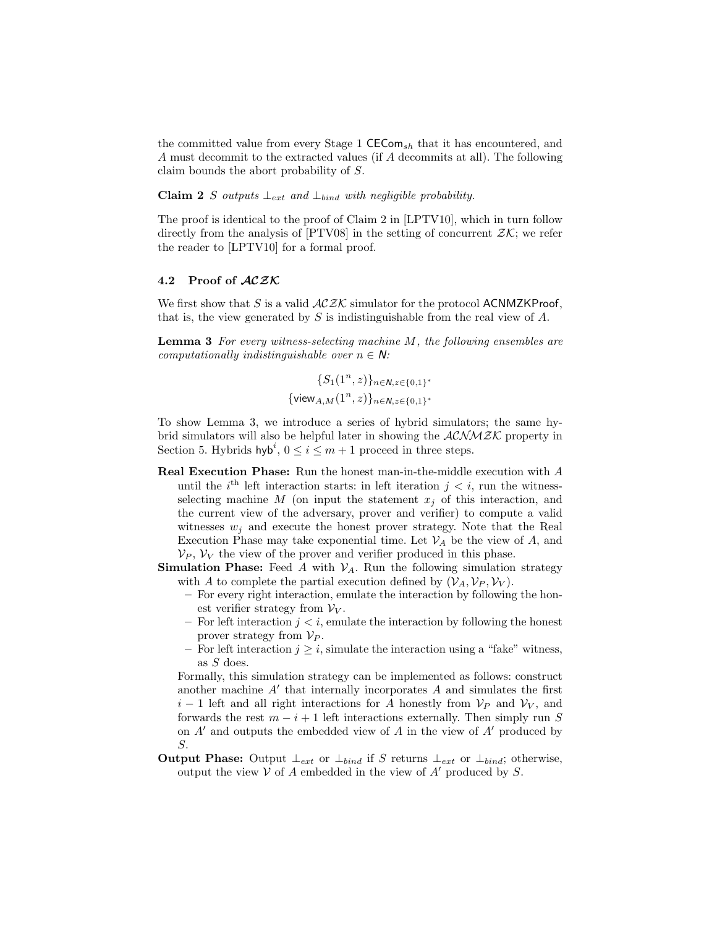the committed value from every Stage 1  $CECom_{sh}$  that it has encountered, and A must decommit to the extracted values (if A decommits at all). The following claim bounds the abort probability of S.

Claim 2 S outputs  $\perp_{ext}$  and  $\perp_{bind}$  with negligible probability.

The proof is identical to the proof of Claim 2 in [LPTV10], which in turn follow directly from the analysis of  $[PTV08]$  in the setting of concurrent  $ZK$ ; we refer the reader to [LPTV10] for a formal proof.

#### 4.2 Proof of ACZK

We first show that S is a valid  $ACZK$  simulator for the protocol ACNMZKProof, that is, the view generated by S is indistinguishable from the real view of  $A$ .

**Lemma 3** For every witness-selecting machine  $M$ , the following ensembles are computationally indistinguishable over  $n \in \mathbb{N}$ :

$$
\{S_1(1^n, z)\}_{n \in \mathbb{N}, z \in \{0, 1\}^*}
$$
  
{view<sub>A,M</sub>(1<sup>n</sup>, z)}<sub>*n* \in N, z \in \{0, 1\}^\*</sub>

To show Lemma 3, we introduce a series of hybrid simulators; the same hybrid simulators will also be helpful later in showing the  $ACNMZK$  property in Section 5. Hybrids  $hyb^i$ ,  $0 \le i \le m+1$  proceed in three steps.

- Real Execution Phase: Run the honest man-in-the-middle execution with A until the i<sup>th</sup> left interaction starts: in left iteration  $j < i$ , run the witnessselecting machine  $M$  (on input the statement  $x_j$  of this interaction, and the current view of the adversary, prover and verifier) to compute a valid witnesses  $w_i$  and execute the honest prover strategy. Note that the Real Execution Phase may take exponential time. Let  $\mathcal{V}_A$  be the view of A, and  $V_P$ ,  $V_V$  the view of the prover and verifier produced in this phase.
- **Simulation Phase:** Feed A with  $V_A$ . Run the following simulation strategy with A to complete the partial execution defined by  $(\mathcal{V}_A, \mathcal{V}_P, \mathcal{V}_V)$ .
	- For every right interaction, emulate the interaction by following the honest verifier strategy from  $V_V$ .
	- For left interaction  $j < i$ , emulate the interaction by following the honest prover strategy from  $\mathcal{V}_P$ .
	- For left interaction  $j \geq i$ , simulate the interaction using a "fake" witness, as S does.

Formally, this simulation strategy can be implemented as follows: construct another machine  $A'$  that internally incorporates  $A$  and simulates the first  $i-1$  left and all right interactions for A honestly from  $\mathcal{V}_P$  and  $\mathcal{V}_V$ , and forwards the rest  $m - i + 1$  left interactions externally. Then simply run S on  $A'$  and outputs the embedded view of  $A$  in the view of  $A'$  produced by S.

**Output Phase:** Output  $\perp_{ext}$  or  $\perp_{bind}$  if S returns  $\perp_{ext}$  or  $\perp_{bind}$ ; otherwise, output the view  $V$  of A embedded in the view of A' produced by S.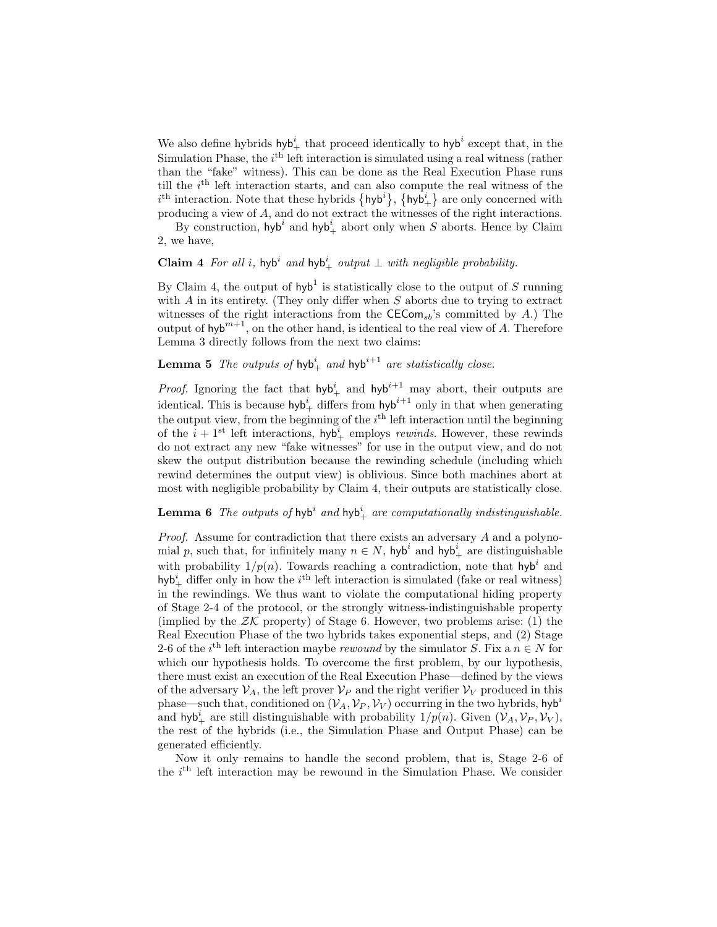We also define hybrids  $\mathsf{hyb}_+^i$  that proceed identically to  $\mathsf{hyb}^i$  except that, in the Simulation Phase, the  $i<sup>th</sup>$  left interaction is simulated using a real witness (rather than the "fake" witness). This can be done as the Real Execution Phase runs till the  $i<sup>th</sup>$  left interaction starts, and can also compute the real witness of the  $i^{\text{th}}$  interaction. Note that these hybrids  $\{\text{hyb}^i\}$ ,  $\{\text{hyb}^i\}$  are only concerned with producing a view of A, and do not extract the witnesses of the right interactions.

By construction,  $hyb^i$  and  $hyb^i_+$  abort only when S aborts. Hence by Claim 2, we have,

## **Claim 4** For all i, hyb<sup>i</sup> and hyb<sup>i</sup><sub>+</sub> output  $\perp$  with negligible probability.

By Claim 4, the output of  $hyb^1$  is statistically close to the output of S running with  $A$  in its entirety. (They only differ when  $S$  aborts due to trying to extract witnesses of the right interactions from the  $CECom_{sb}$ 's committed by A.) The output of  $hyb^{m+1}$ , on the other hand, is identical to the real view of A. Therefore Lemma 3 directly follows from the next two claims:

## **Lemma 5** The outputs of  $hyb<sup>i</sup>$  and  $hyb<sup>i+1</sup>$  are statistically close.

*Proof.* Ignoring the fact that  $hyb^i$  and  $hyb^{i+1}$  may abort, their outputs are identical. This is because  $\mathsf{hyb}^i_+$  differs from  $\mathsf{hyb}^{i+1}$  only in that when generating the output view, from the beginning of the  $i<sup>th</sup>$  left interaction until the beginning of the  $i + 1$ <sup>st</sup> left interactions, hyb<sup>i</sup><sub>+</sub> employs *rewinds*. However, these rewinds do not extract any new "fake witnesses" for use in the output view, and do not skew the output distribution because the rewinding schedule (including which rewind determines the output view) is oblivious. Since both machines abort at most with negligible probability by Claim 4, their outputs are statistically close.

## **Lemma 6** The outputs of  $hyb^i$  and  $hyb^i$ <sub>+</sub> are computationally indistinguishable.

Proof. Assume for contradiction that there exists an adversary A and a polynomial p, such that, for infinitely many  $n \in N$ ,  $\text{hyb}^i$  and  $\text{hyb}^i$  are distinguishable with probability  $1/p(n)$ . Towards reaching a contradiction, note that hyb<sup>i</sup> and  $\mathsf{hyb}_+^i$  differ only in how the  $i^{\text{th}}$  left interaction is simulated (fake or real witness) in the rewindings. We thus want to violate the computational hiding property of Stage 2-4 of the protocol, or the strongly witness-indistinguishable property (implied by the  $ZK$  property) of Stage 6. However, two problems arise: (1) the Real Execution Phase of the two hybrids takes exponential steps, and (2) Stage 2-6 of the i<sup>th</sup> left interaction maybe *rewound* by the simulator S. Fix a  $n \in N$  for which our hypothesis holds. To overcome the first problem, by our hypothesis, there must exist an execution of the Real Execution Phase—defined by the views of the adversary  $\mathcal{V}_A$ , the left prover  $\mathcal{V}_P$  and the right verifier  $\mathcal{V}_V$  produced in this phase—such that, conditioned on  $(\mathcal{V}_A, \mathcal{V}_P, \mathcal{V}_V)$  occurring in the two hybrids, hyb<sup>i</sup> and  $\mathsf{hyb}_+^i$  are still distinguishable with probability  $1/p(n)$ . Given  $(\mathcal{V}_A, \mathcal{V}_P, \mathcal{V}_V)$ , the rest of the hybrids (i.e., the Simulation Phase and Output Phase) can be generated efficiently.

Now it only remains to handle the second problem, that is, Stage 2-6 of the  $i<sup>th</sup>$  left interaction may be rewound in the Simulation Phase. We consider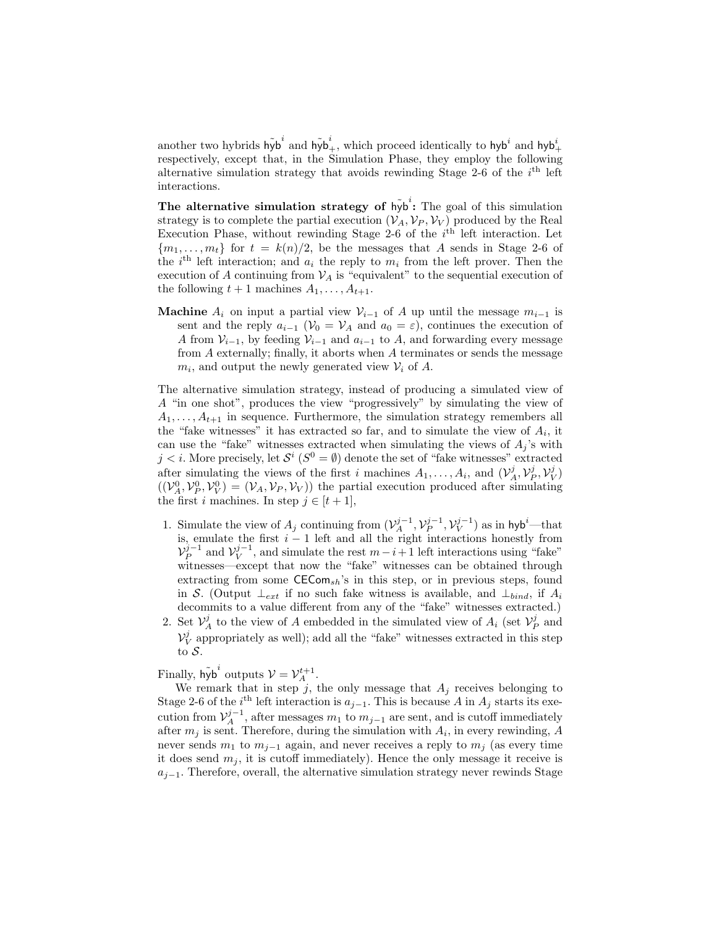another two hybrids  $\tilde{\text{hyb}}^i$  and  $\tilde{\text{hyb}}^i_+$ , which proceed identically to  $\text{hyb}^i$  and  $\text{hyb}^i_+$ respectively, except that, in the Simulation Phase, they employ the following alternative simulation strategy that avoids rewinding Stage 2-6 of the  $i<sup>th</sup>$  left interactions.

The alternative simulation strategy of  $\overrightarrow{hyb}$ : The goal of this simulation strategy is to complete the partial execution  $(\mathcal{V}_A, \mathcal{V}_P, \mathcal{V}_V)$  produced by the Real Execution Phase, without rewinding Stage 2-6 of the  $i<sup>th</sup>$  left interaction. Let  ${m_1, \ldots, m_t}$  for  $t = k(n)/2$ , be the messages that A sends in Stage 2-6 of the  $i<sup>th</sup>$  left interaction; and  $a<sub>i</sub>$  the reply to  $m<sub>i</sub>$  from the left prover. Then the execution of A continuing from  $\mathcal{V}_A$  is "equivalent" to the sequential execution of the following  $t + 1$  machines  $A_1, \ldots, A_{t+1}$ .

**Machine**  $A_i$  on input a partial view  $V_{i-1}$  of A up until the message  $m_{i-1}$  is sent and the reply  $a_{i-1}$  ( $\mathcal{V}_0 = \mathcal{V}_A$  and  $a_0 = \varepsilon$ ), continues the execution of A from  $\mathcal{V}_{i-1}$ , by feeding  $\mathcal{V}_{i-1}$  and  $a_{i-1}$  to A, and forwarding every message from  $A$  externally; finally, it aborts when  $A$  terminates or sends the message  $m_i$ , and output the newly generated view  $\mathcal{V}_i$  of A.

The alternative simulation strategy, instead of producing a simulated view of A "in one shot", produces the view "progressively" by simulating the view of  $A_1, \ldots, A_{t+1}$  in sequence. Furthermore, the simulation strategy remembers all the "fake witnesses" it has extracted so far, and to simulate the view of  $A_i$ , it can use the "fake" witnesses extracted when simulating the views of  $A_j$ 's with  $j < i$ . More precisely, let  $\mathcal{S}^i$   $(S^0 = \emptyset)$  denote the set of "fake witnesses" extracted after simulating the views of the first i machines  $A_1, \ldots, A_i$ , and  $(\mathcal{V}_A^j, \mathcal{V}_P^j, \mathcal{V}_V^j)$  $((\mathcal{V}_{A}^{0}, \mathcal{V}_{P}^{0}, \mathcal{V}_{V}^{0}) = (\mathcal{V}_{A}, \mathcal{V}_{P}, \mathcal{V}_{V}))$  the partial execution produced after simulating the first *i* machines. In step  $j \in [t + 1]$ ,

- 1. Simulate the view of  $A_j$  continuing from  $(\mathcal{V}_A^{j-1}, \mathcal{V}_P^{j-1}, \mathcal{V}_V^{j-1})$  as in hyb<sup>i</sup>—that is, emulate the first  $i - 1$  left and all the right interactions honestly from  $\mathcal{V}_P^{j-1}$  and  $\mathcal{V}_V^{j-1}$ , and simulate the rest  $m-i+1$  left interactions using "fake" witnesses—except that now the "fake" witnesses can be obtained through extracting from some  $CECom_{sh}$ 's in this step, or in previous steps, found in S. (Output  $\perp_{ext}$  if no such fake witness is available, and  $\perp_{bind}$ , if  $A_i$ decommits to a value different from any of the "fake" witnesses extracted.)
- 2. Set  $\mathcal{V}_A^j$  to the view of A embedded in the simulated view of  $A_i$  (set  $\mathcal{V}_P^j$  and  $\mathcal{V}_V^j$  appropriately as well); add all the "fake" witnesses extracted in this step to S.

Finally,  $h\tilde{y}b^i$  outputs  $\mathcal{V} = \mathcal{V}_A^{t+1}$ .

We remark that in step j, the only message that  $A_j$  receives belonging to Stage 2-6 of the *i*<sup>th</sup> left interaction is  $a_{j-1}$ . This is because A in  $A_j$  starts its execution from  $\mathcal{V}_A^{j-1}$ , after messages  $m_1$  to  $m_{j-1}$  are sent, and is cutoff immediately after  $m_j$  is sent. Therefore, during the simulation with  $A_i$ , in every rewinding, A never sends  $m_1$  to  $m_{j-1}$  again, and never receives a reply to  $m_j$  (as every time it does send  $m_j$ , it is cutoff immediately). Hence the only message it receive is  $a_{j-1}$ . Therefore, overall, the alternative simulation strategy never rewinds Stage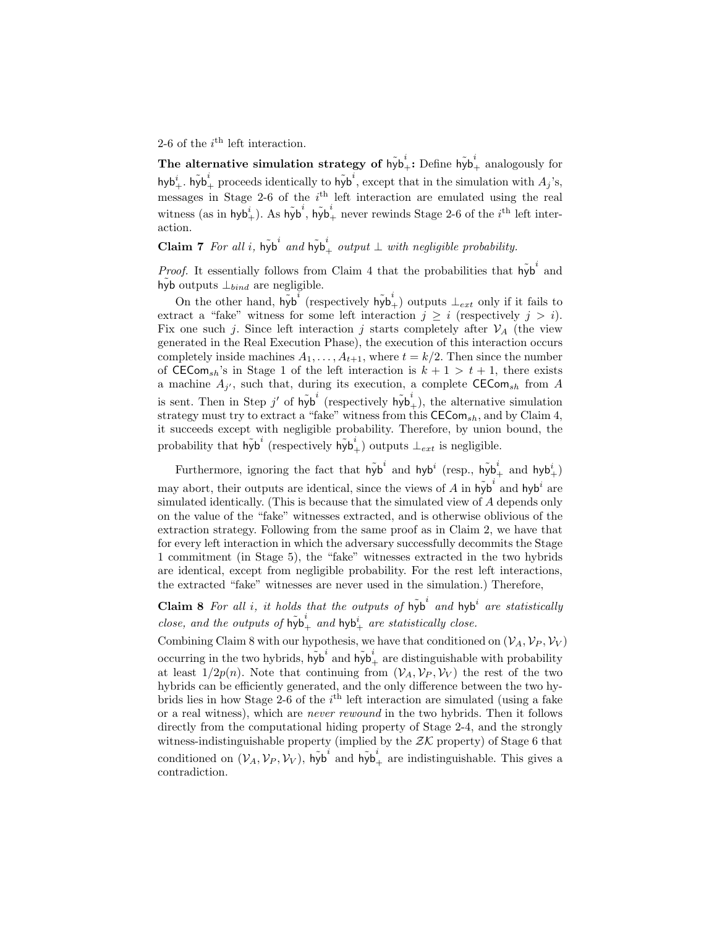2-6 of the  $i^{\text{th}}$  left interaction.

The alternative simulation strategy of  $\tilde{\text{hyb}}_+^i$ : Define  $\tilde{\text{hyb}}_+^i$  analogously for hyb<sup>i</sup><sub>+</sub>. hỹb<sup>i</sup><sub>+</sub> proceeds identically to hȳb<sup>i</sup>, except that in the simulation with  $A_j$ 's, messages in Stage 2-6 of the  $i<sup>th</sup>$  left interaction are emulated using the real witness (as in  $hyb^i_+$ ). As  $h\tilde{y}b^i$ ,  $h\tilde{y}b^i_+$  never rewinds Stage 2-6 of the  $i^{\text{th}}$  left interaction.

# **Claim 7** For all i,  $h\tilde{y}b^i$  and  $h\tilde{y}b^i_+$  output  $\perp$  with negligible probability.

*Proof.* It essentially follows from Claim 4 that the probabilities that  $\overrightarrow{hyb}^i$  and hyb outputs  $\perp_{bind}$  are negligible.

On the other hand,  $\tilde{hyb}^i$  (respectively  $\tilde{hyb}^i_+$ ) outputs  $\perp_{ext}$  only if it fails to extract a "fake" witness for some left interaction  $j \geq i$  (respectively  $j > i$ ). Fix one such j. Since left interaction j starts completely after  $\mathcal{V}_A$  (the view generated in the Real Execution Phase), the execution of this interaction occurs completely inside machines  $A_1, \ldots, A_{t+1}$ , where  $t = k/2$ . Then since the number of CECom<sub>sh</sub>'s in Stage 1 of the left interaction is  $k + 1 > t + 1$ , there exists a machine  $A_{j'}$ , such that, during its execution, a complete CECom<sub>sh</sub> from A is sent. Then in Step j' of  $\overline{\text{hyb}}^i$  (respectively  $\overline{\text{hyb}}^i_+$ ), the alternative simulation strategy must try to extract a "fake" witness from this  $\mathsf{CECom}_{sh}$ , and by Claim 4, it succeeds except with negligible probability. Therefore, by union bound, the probability that  $\tilde{\text{hyb}}^i$  (respectively  $\tilde{\text{hyb}}^i_+$ ) outputs  $\perp_{ext}$  is negligible.

Furthermore, ignoring the fact that  $\tilde{\text{hyb}}^i$  and  $\text{hyb}^i$  (resp.,  $\tilde{\text{hyb}}^i_+$  and  $\text{hyb}^i_+$ ) may abort, their outputs are identical, since the views of A in  $\tilde{\text{hyb}}^i$  and  $\text{hyb}^i$  are simulated identically. (This is because that the simulated view of A depends only on the value of the "fake" witnesses extracted, and is otherwise oblivious of the extraction strategy. Following from the same proof as in Claim 2, we have that for every left interaction in which the adversary successfully decommits the Stage 1 commitment (in Stage 5), the "fake" witnesses extracted in the two hybrids are identical, except from negligible probability. For the rest left interactions, the extracted "fake" witnesses are never used in the simulation.) Therefore,

**Claim 8** For all i, it holds that the outputs of  $h\tilde{y}b^i$  and  $hyb^i$  are statistically close, and the outputs of  $\tilde{\text{hyb}}^i_+$  and  $\text{hyb}^i_+$  are statistically close.

Combining Claim 8 with our hypothesis, we have that conditioned on  $(\mathcal{V}_A, \mathcal{V}_P, \mathcal{V}_V)$ occurring in the two hybrids,  $\tilde{hyb}^i$  and  $\tilde{hyb}^i_+$  are distinguishable with probability at least  $1/2p(n)$ . Note that continuing from  $(\mathcal{V}_A, \mathcal{V}_P, \mathcal{V}_V)$  the rest of the two hybrids can be efficiently generated, and the only difference between the two hybrids lies in how Stage 2-6 of the  $i<sup>th</sup>$  left interaction are simulated (using a fake or a real witness), which are never rewound in the two hybrids. Then it follows directly from the computational hiding property of Stage 2-4, and the strongly witness-indistinguishable property (implied by the  $ZK$  property) of Stage 6 that conditioned on  $(\mathcal{V}_A, \mathcal{V}_P, \mathcal{V}_V)$ ,  $\overline{\mathsf{hyb}}^i$  and  $\overline{\mathsf{hyb}}^i_+$  are indistinguishable. This gives a contradiction.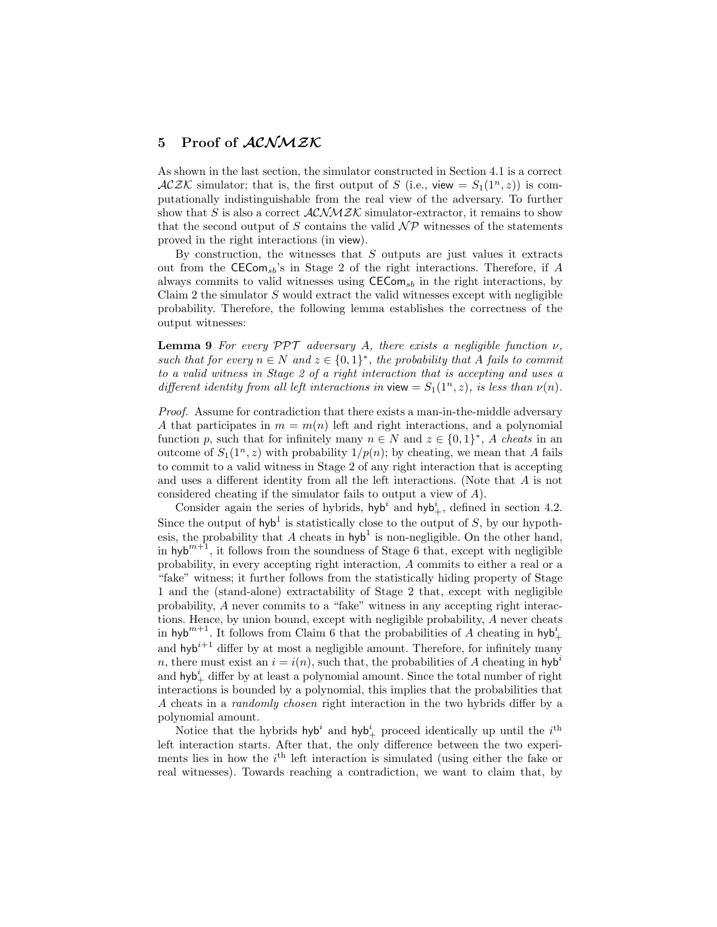### 5 Proof of ACNMZK

As shown in the last section, the simulator constructed in Section 4.1 is a correct  $ACZK$  simulator; that is, the first output of S (i.e., view =  $S_1(1^n, z)$ ) is computationally indistinguishable from the real view of the adversary. To further show that S is also a correct  $ACMZK$  simulator-extractor, it remains to show that the second output of S contains the valid  $\mathcal{NP}$  witnesses of the statements proved in the right interactions (in view).

By construction, the witnesses that  $S$  outputs are just values it extracts out from the CECom<sub>sb</sub>'s in Stage 2 of the right interactions. Therefore, if A always commits to valid witnesses using  $CECom_{sb}$  in the right interactions, by Claim 2 the simulator  $S$  would extract the valid witnesses except with negligible probability. Therefore, the following lemma establishes the correctness of the output witnesses:

**Lemma 9** For every  $PPT$  adversary A, there exists a negligible function  $\nu$ , such that for every  $n \in N$  and  $z \in \{0,1\}^*$ , the probability that A fails to commit to a valid witness in Stage 2 of a right interaction that is accepting and uses a different identity from all left interactions in view =  $S_1(1^n, z)$ , is less than  $\nu(n)$ .

Proof. Assume for contradiction that there exists a man-in-the-middle adversary A that participates in  $m = m(n)$  left and right interactions, and a polynomial function p, such that for infinitely many  $n \in N$  and  $z \in \{0,1\}^*$ , A cheats in an outcome of  $S_1(1^n, z)$  with probability  $1/p(n)$ ; by cheating, we mean that A fails to commit to a valid witness in Stage 2 of any right interaction that is accepting and uses a different identity from all the left interactions. (Note that A is not considered cheating if the simulator fails to output a view of A).

Consider again the series of hybrids,  $hyb^i$  and  $hyb^i_+$ , defined in section 4.2. Since the output of  $hyb^1$  is statistically close to the output of S, by our hypothesis, the probability that A cheats in  $hyb^1$  is non-negligible. On the other hand, in hyb<sup> $m+1$ </sup>, it follows from the soundness of Stage 6 that, except with negligible probability, in every accepting right interaction, A commits to either a real or a "fake" witness; it further follows from the statistically hiding property of Stage 1 and the (stand-alone) extractability of Stage 2 that, except with negligible probability, A never commits to a "fake" witness in any accepting right interactions. Hence, by union bound, except with negligible probability, A never cheats in hyb<sup>m+1</sup>. It follows from Claim 6 that the probabilities of A cheating in  $\text{hyb}_+^i$ and  $\frac{h}{b}$  hyb<sup>i+1</sup> differ by at most a negligible amount. Therefore, for infinitely many n, there must exist an  $i = i(n)$ , such that, the probabilities of A cheating in hyb<sup>2</sup> and  $\mathsf{hyb}_+^i$  differ by at least a polynomial amount. Since the total number of right interactions is bounded by a polynomial, this implies that the probabilities that A cheats in a randomly chosen right interaction in the two hybrids differ by a polynomial amount.

Notice that the hybrids  $\text{hyb}^i$  and  $\text{hyb}^i_+$  proceed identically up until the  $i^{\text{th}}$ left interaction starts. After that, the only difference between the two experiments lies in how the  $i<sup>th</sup>$  left interaction is simulated (using either the fake or real witnesses). Towards reaching a contradiction, we want to claim that, by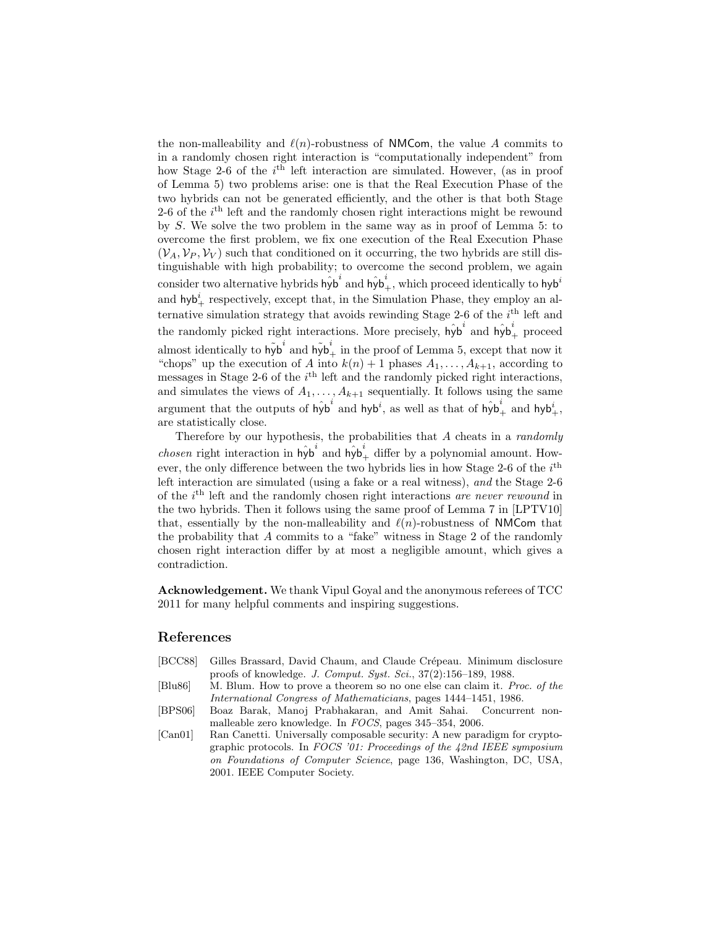the non-malleability and  $\ell(n)$ -robustness of NMCom, the value A commits to in a randomly chosen right interaction is "computationally independent" from how Stage 2-6 of the  $i<sup>th</sup>$  left interaction are simulated. However, (as in proof of Lemma 5) two problems arise: one is that the Real Execution Phase of the two hybrids can not be generated efficiently, and the other is that both Stage 2-6 of the  $i^{\text{th}}$  left and the randomly chosen right interactions might be rewound by S. We solve the two problem in the same way as in proof of Lemma 5: to overcome the first problem, we fix one execution of the Real Execution Phase  $(\mathcal{V}_A, \mathcal{V}_P, \mathcal{V}_V)$  such that conditioned on it occurring, the two hybrids are still distinguishable with high probability; to overcome the second problem, we again consider two alternative hybrids  $\hat{hyb}^i$  and  $\hat{hyb}^i_+$ , which proceed identically to  $\hat{hyb}^i$ and  $\mathsf{hyb}_+^i$  respectively, except that, in the Simulation Phase, they employ an alternative simulation strategy that avoids rewinding Stage 2-6 of the  $i<sup>th</sup>$  left and the randomly picked right interactions. More precisely,  $\hat{hyb}^i$  and  $\hat{hyb}^i_+$  proceed almost identically to  $\tilde{\text{hyb}}_1^i$  and  $\tilde{\text{hyb}}_+^i$  in the proof of Lemma 5, except that now it "chops" up the execution of A into  $k(n) + 1$  phases  $A_1, \ldots, A_{k+1}$ , according to messages in Stage 2-6 of the  $i<sup>th</sup>$  left and the randomly picked right interactions, and simulates the views of  $A_1, \ldots, A_{k+1}$  sequentially. It follows using the same argument that the outputs of  $\hat{\text{hyb}}^i$  and  $\text{hyb}^i$ , as well as that of  $\hat{\text{hyb}}^i_+$  and  $\text{hyb}^i_+$ , are statistically close.

Therefore by our hypothesis, the probabilities that  $A$  cheats in a randomly *chosen* right interaction in  $h\hat{y}b^i$  and  $h\hat{y}b^i$  differ by a polynomial amount. However, the only difference between the two hybrids lies in how Stage 2-6 of the  $i^{\text{th}}$ left interaction are simulated (using a fake or a real witness), and the Stage 2-6 of the  $i<sup>th</sup>$  left and the randomly chosen right interactions are never rewound in the two hybrids. Then it follows using the same proof of Lemma 7 in [LPTV10] that, essentially by the non-malleability and  $\ell(n)$ -robustness of NMCom that the probability that  $A$  commits to a "fake" witness in Stage 2 of the randomly chosen right interaction differ by at most a negligible amount, which gives a contradiction.

Acknowledgement. We thank Vipul Goyal and the anonymous referees of TCC 2011 for many helpful comments and inspiring suggestions.

#### References

- [BCC88] Gilles Brassard, David Chaum, and Claude Crépeau. Minimum disclosure proofs of knowledge. J. Comput. Syst. Sci., 37(2):156–189, 1988.
- [Blu86] M. Blum. How to prove a theorem so no one else can claim it. Proc. of the International Congress of Mathematicians, pages 1444–1451, 1986.
- [BPS06] Boaz Barak, Manoj Prabhakaran, and Amit Sahai. Concurrent nonmalleable zero knowledge. In FOCS, pages 345–354, 2006.
- [Can01] Ran Canetti. Universally composable security: A new paradigm for cryptographic protocols. In FOCS '01: Proceedings of the 42nd IEEE symposium on Foundations of Computer Science, page 136, Washington, DC, USA, 2001. IEEE Computer Society.